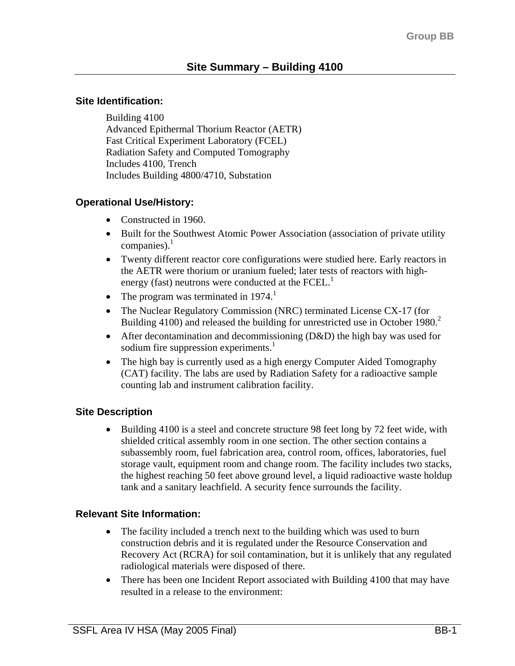#### **Site Identification:**

Building 4100 Advanced Epithermal Thorium Reactor (AETR) Fast Critical Experiment Laboratory (FCEL) Radiation Safety and Computed Tomography Includes 4100, Trench Includes Building 4800/4710, Substation

## **Operational Use/History:**

- Constructed in 1960.
- Built for the Southwest Atomic Power Association (association of private utility companies). $<sup>1</sup>$ </sup>
- Twenty different reactor core configurations were studied here. Early reactors in the AETR were thorium or uranium fueled; later tests of reactors with highenergy (fast) neutrons were conducted at the FCEL.<sup>1</sup>
- The program was terminated in  $1974<sup>1</sup>$
- The Nuclear Regulatory Commission (NRC) terminated License CX-17 (for Building 4100) and released the building for unrestricted use in October 1980.<sup>2</sup>
- After decontamination and decommissioning (D&D) the high bay was used for sodium fire suppression experiments. $1$
- The high bay is currently used as a high energy Computer Aided Tomography (CAT) facility. The labs are used by Radiation Safety for a radioactive sample counting lab and instrument calibration facility.

## **Site Description**

• Building 4100 is a steel and concrete structure 98 feet long by 72 feet wide, with shielded critical assembly room in one section. The other section contains a subassembly room, fuel fabrication area, control room, offices, laboratories, fuel storage vault, equipment room and change room. The facility includes two stacks, the highest reaching 50 feet above ground level, a liquid radioactive waste holdup tank and a sanitary leachfield. A security fence surrounds the facility.

## **Relevant Site Information:**

- The facility included a trench next to the building which was used to burn construction debris and it is regulated under the Resource Conservation and Recovery Act (RCRA) for soil contamination, but it is unlikely that any regulated radiological materials were disposed of there.
- There has been one Incident Report associated with Building 4100 that may have resulted in a release to the environment: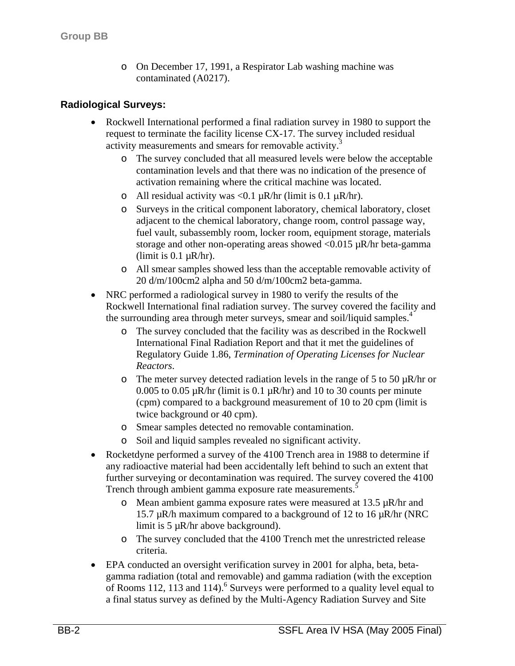o On December 17, 1991, a Respirator Lab washing machine was contaminated (A0217).

#### **Radiological Surveys:**

- Rockwell International performed a final radiation survey in 1980 to support the request to terminate the facility license CX-17. The survey included residual activity measurements and smears for removable activity.<sup>3</sup>
	- o The survey concluded that all measured levels were below the acceptable contamination levels and that there was no indication of the presence of activation remaining where the critical machine was located.
	- o All residual activity was <0.1  $\mu$ R/hr (limit is 0.1  $\mu$ R/hr).
	- o Surveys in the critical component laboratory, chemical laboratory, closet adjacent to the chemical laboratory, change room, control passage way, fuel vault, subassembly room, locker room, equipment storage, materials storage and other non-operating areas showed  $< 0.015 \mu R/hr$  beta-gamma (limit is  $0.1 \mu R/hr$ ).
	- o All smear samples showed less than the acceptable removable activity of 20 d/m/100cm2 alpha and 50 d/m/100cm2 beta-gamma.
- NRC performed a radiological survey in 1980 to verify the results of the Rockwell International final radiation survey. The survey covered the facility and the surrounding area through meter surveys, smear and soil/liquid samples.<sup>4</sup>
	- o The survey concluded that the facility was as described in the Rockwell International Final Radiation Report and that it met the guidelines of Regulatory Guide 1.86, *Termination of Operating Licenses for Nuclear Reactors*.
	- o The meter survey detected radiation levels in the range of 5 to 50  $\mu$ R/hr or 0.005 to 0.05  $\mu$ R/hr (limit is 0.1  $\mu$ R/hr) and 10 to 30 counts per minute (cpm) compared to a background measurement of 10 to 20 cpm (limit is twice background or 40 cpm).
	- o Smear samples detected no removable contamination.
	- o Soil and liquid samples revealed no significant activity.
- Rocketdyne performed a survey of the 4100 Trench area in 1988 to determine if any radioactive material had been accidentally left behind to such an extent that further surveying or decontamination was required. The survey covered the 4100 Trench through ambient gamma exposure rate measurements.<sup>5</sup>
	- o Mean ambient gamma exposure rates were measured at  $13.5 \mu R/hr$  and 15.7 µR/h maximum compared to a background of 12 to 16 µR/hr (NRC limit is 5 µR/hr above background).
	- o The survey concluded that the 4100 Trench met the unrestricted release criteria.
- EPA conducted an oversight verification survey in 2001 for alpha, beta, betagamma radiation (total and removable) and gamma radiation (with the exception of Rooms 112, 113 and 114).<sup>6</sup> Surveys were performed to a quality level equal to a final status survey as defined by the Multi-Agency Radiation Survey and Site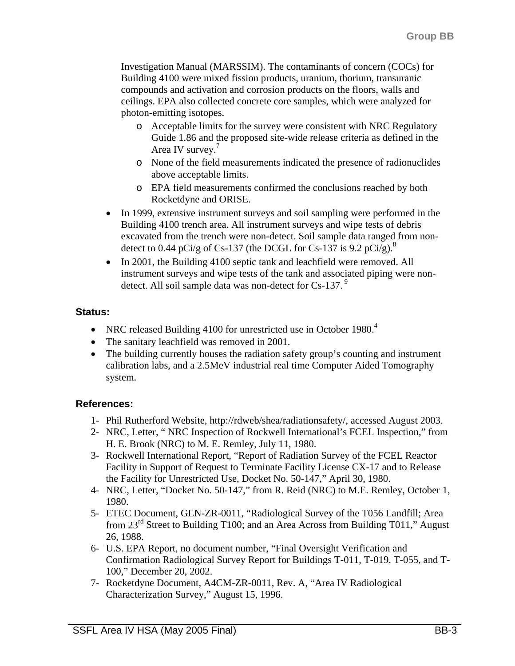Investigation Manual (MARSSIM). The contaminants of concern (COCs) for Building 4100 were mixed fission products, uranium, thorium, transuranic compounds and activation and corrosion products on the floors, walls and ceilings. EPA also collected concrete core samples, which were analyzed for photon-emitting isotopes.

- o Acceptable limits for the survey were consistent with NRC Regulatory Guide 1.86 and the proposed site-wide release criteria as defined in the Area IV survey.<sup>7</sup>
- o None of the field measurements indicated the presence of radionuclides above acceptable limits.
- o EPA field measurements confirmed the conclusions reached by both Rocketdyne and ORISE.
- In 1999, extensive instrument surveys and soil sampling were performed in the Building 4100 trench area. All instrument surveys and wipe tests of debris excavated from the trench were non-detect. Soil sample data ranged from nondetect to 0.44 pCi/g of Cs-137 (the DCGL for Cs-137 is 9.2 pCi/g).<sup>8</sup>
- In 2001, the Building 4100 septic tank and leachfield were removed. All instrument surveys and wipe tests of the tank and associated piping were nondetect. All soil sample data was non-detect for Cs-137.<sup>9</sup>

## **Status:**

- NRC released Building 4100 for unrestricted use in October 1980. $4$
- The sanitary leachfield was removed in 2001.
- The building currently houses the radiation safety group's counting and instrument calibration labs, and a 2.5MeV industrial real time Computer Aided Tomography system.

# **References:**

- 1- Phil Rutherford Website, http://rdweb/shea/radiationsafety/, accessed August 2003.
- 2- NRC, Letter, " NRC Inspection of Rockwell International's FCEL Inspection," from H. E. Brook (NRC) to M. E. Remley, July 11, 1980.
- 3- Rockwell International Report, "Report of Radiation Survey of the FCEL Reactor Facility in Support of Request to Terminate Facility License CX-17 and to Release the Facility for Unrestricted Use, Docket No. 50-147," April 30, 1980.
- 4- NRC, Letter, "Docket No. 50-147," from R. Reid (NRC) to M.E. Remley, October 1, 1980.
- 5- ETEC Document, GEN-ZR-0011, "Radiological Survey of the T056 Landfill; Area from  $23<sup>rd</sup>$  Street to Building T100; and an Area Across from Building T011," August 26, 1988.
- 6- U.S. EPA Report, no document number, "Final Oversight Verification and Confirmation Radiological Survey Report for Buildings T-011, T-019, T-055, and T-100," December 20, 2002.
- 7- Rocketdyne Document, A4CM-ZR-0011, Rev. A, "Area IV Radiological Characterization Survey," August 15, 1996.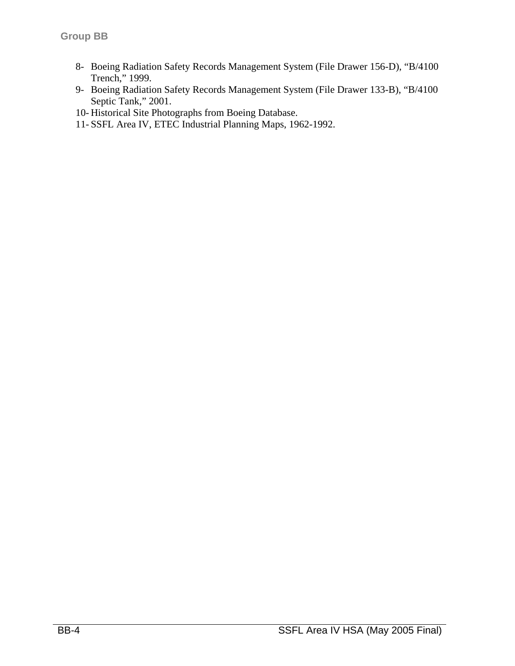- 8- Boeing Radiation Safety Records Management System (File Drawer 156-D), "B/4100 Trench," 1999.
- 9- Boeing Radiation Safety Records Management System (File Drawer 133-B), "B/4100 Septic Tank," 2001.
- 10- Historical Site Photographs from Boeing Database.
- 11- SSFL Area IV, ETEC Industrial Planning Maps, 1962-1992.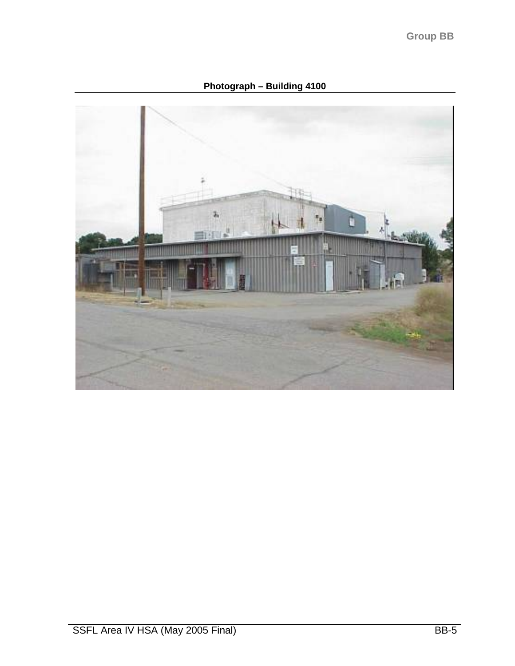**Photograph – Building 4100**